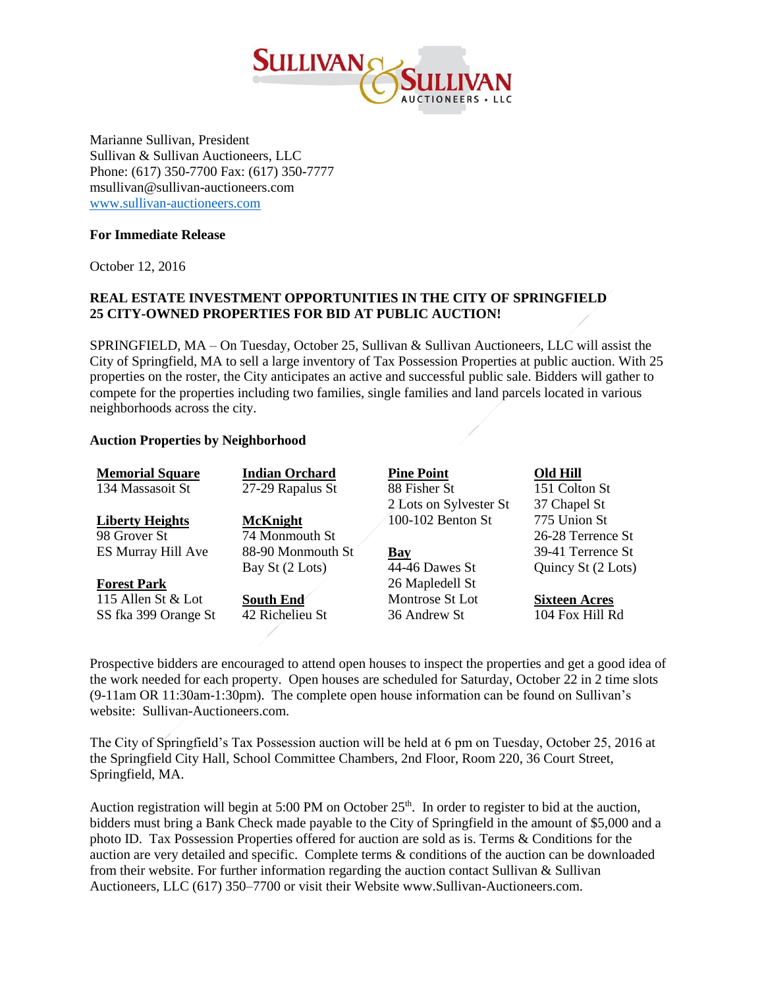

Marianne Sullivan, President Sullivan & Sullivan Auctioneers, LLC Phone: (617) 350-7700 Fax: (617) 350-7777 msullivan@sullivan-auctioneers.com [www.sullivan-auctioneers.com](http://www.sullivan-auctioneers.com/)

## **For Immediate Release**

October 12, 2016

## **REAL ESTATE INVESTMENT OPPORTUNITIES IN THE CITY OF SPRINGFIELD 25 CITY-OWNED PROPERTIES FOR BID AT PUBLIC AUCTION!**

SPRINGFIELD, MA – On Tuesday, October 25, Sullivan & Sullivan Auctioneers, LLC will assist the City of Springfield, MA to sell a large inventory of Tax Possession Properties at public auction. With 25 properties on the roster, the City anticipates an active and successful public sale. Bidders will gather to compete for the properties including two families, single families and land parcels located in various neighborhoods across the city.

## **Auction Properties by Neighborhood**

| <b>Memorial Square</b> | <b>Indian Orchard</b> | <b>Pine Point</b>      | Old Hill             |
|------------------------|-----------------------|------------------------|----------------------|
| 134 Massasoit St       | 27-29 Rapalus St      | 88 Fisher St           | 151 Colton St        |
|                        |                       | 2 Lots on Sylvester St | 37 Chapel St         |
| <b>Liberty Heights</b> | <b>McKnight</b>       | 100-102 Benton St      | 775 Union St         |
| 98 Grover St           | 74 Monmouth St        |                        | 26-28 Terrence St    |
| ES Murray Hill Ave     | 88-90 Monmouth St     | <b>Bay</b>             | 39-41 Terrence St    |
|                        | Bay St (2 Lots)       | 44-46 Dawes St         | Quincy St (2 Lots)   |
| <b>Forest Park</b>     |                       | 26 Mapledell St        |                      |
| 115 Allen St $&$ Lot   | <b>South End</b>      | Montrose St Lot        | <b>Sixteen Acres</b> |
| SS fka 399 Orange St   | 42 Richelieu St       | 36 Andrew St           | 104 Fox Hill Rd      |
|                        |                       |                        |                      |

Prospective bidders are encouraged to attend open houses to inspect the properties and get a good idea of the work needed for each property. Open houses are scheduled for Saturday, October 22 in 2 time slots (9-11am OR 11:30am-1:30pm). The complete open house information can be found on Sullivan's website: Sullivan-Auctioneers.com.

The City of Springfield's Tax Possession auction will be held at 6 pm on Tuesday, October 25, 2016 at the Springfield City Hall, School Committee Chambers, 2nd Floor, Room 220, 36 Court Street, Springfield, MA.

Auction registration will begin at 5:00 PM on October 25<sup>th</sup>. In order to register to bid at the auction, bidders must bring a Bank Check made payable to the City of Springfield in the amount of \$5,000 and a photo ID. Tax Possession Properties offered for auction are sold as is. Terms & Conditions for the auction are very detailed and specific. Complete terms & conditions of the auction can be downloaded from their website. For further information regarding the auction contact Sullivan & Sullivan Auctioneers, LLC (617) 350–7700 or visit their Website www.Sullivan-Auctioneers.com.